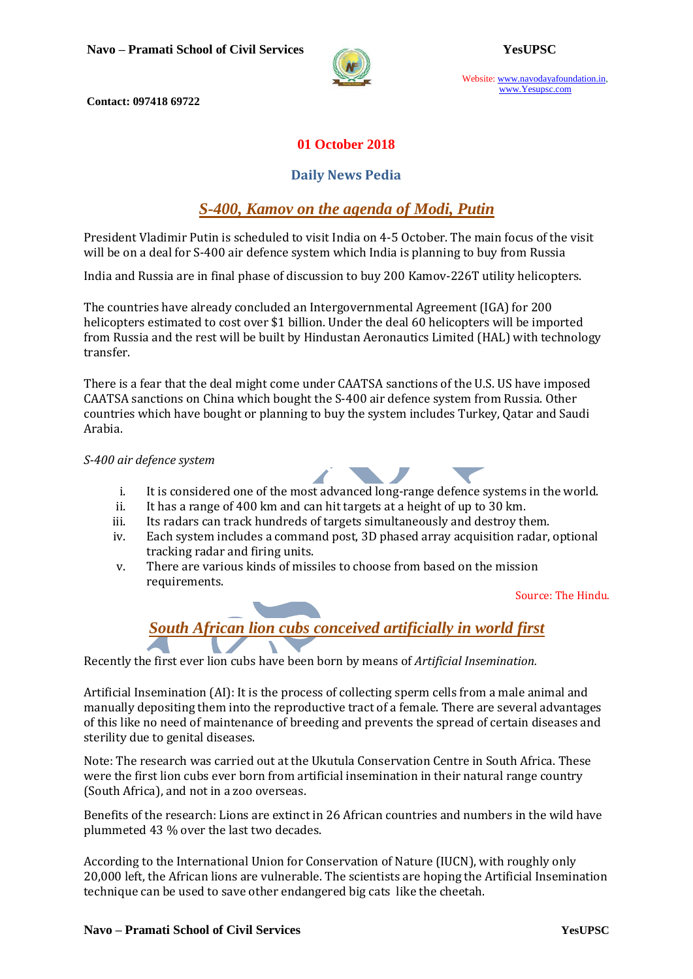

Website: www.navodayafoundation.in, www.Yesupsc.com

**Contact: 097418 69722**

#### **01 October 2018**

#### **Daily News Pedia**

## *[S-400, Kamov on the agenda of Modi, Putin](https://www.thehindu.com/news/national/s-400-kamov-on-the-agenda-of-modi-putin/article25090371.ece)*

President Vladimir Putin is scheduled to visit India on 4-5 October. The main focus of the visit will be on a deal for S-400 air defence system which India is planning to buy from Russia

India and Russia are in final phase of discussion to buy 200 Kamov-226T utility helicopters.

The countries have already concluded an Intergovernmental Agreement (IGA) for 200 helicopters estimated to cost over \$1 billion. Under the deal 60 helicopters will be imported from Russia and the rest will be built by Hindustan Aeronautics Limited (HAL) with technology transfer.

There is a fear that the deal might come under CAATSA sanctions of the U.S. US have imposed CAATSA sanctions on China which bought the S-400 air defence system from Russia. Other countries which have bought or planning to buy the system includes Turkey, Qatar and Saudi Arabia.

#### *S-400 air defence system*

- i. It is considered one of the most advanced long-range defence systems in the world.
- ii. It has a range of 400 km and can hit targets at a height of up to 30 km.
- iii. Its radars can track hundreds of targets simultaneously and destroy them.
- iv. Each system includes a command post, 3D phased array acquisition radar, optional tracking radar and firing units.
- v. There are various kinds of missiles to choose from based on the mission requirements.

Source: The Hindu.

# *[South African lion cubs conceived artificially in world first](https://timesofindia.indiatimes.com/home/science/south-african-lion-cubs-conceived-artificially-in-world-first/articleshow/66015381.cms)*

Recently the first ever lion cubs have been born by means of *Artificial Insemination.*

Artificial Insemination (AI): It is the process of collecting sperm cells from a male animal and manually depositing them into the reproductive tract of a female. There are several advantages of this like no need of maintenance of breeding and prevents the spread of certain diseases and sterility due to genital diseases.

Note: The research was carried out at the Ukutula Conservation Centre in South Africa. These were the first lion cubs ever born from artificial insemination in their natural range country (South Africa), and not in a zoo overseas.

Benefits of the research: Lions are extinct in 26 African countries and numbers in the wild have plummeted 43 % over the last two decades.

According to the International Union for Conservation of Nature (IUCN), with roughly only 20,000 left, the African lions are vulnerable. The scientists are hoping the Artificial Insemination technique can be used to save other endangered big cats like the cheetah.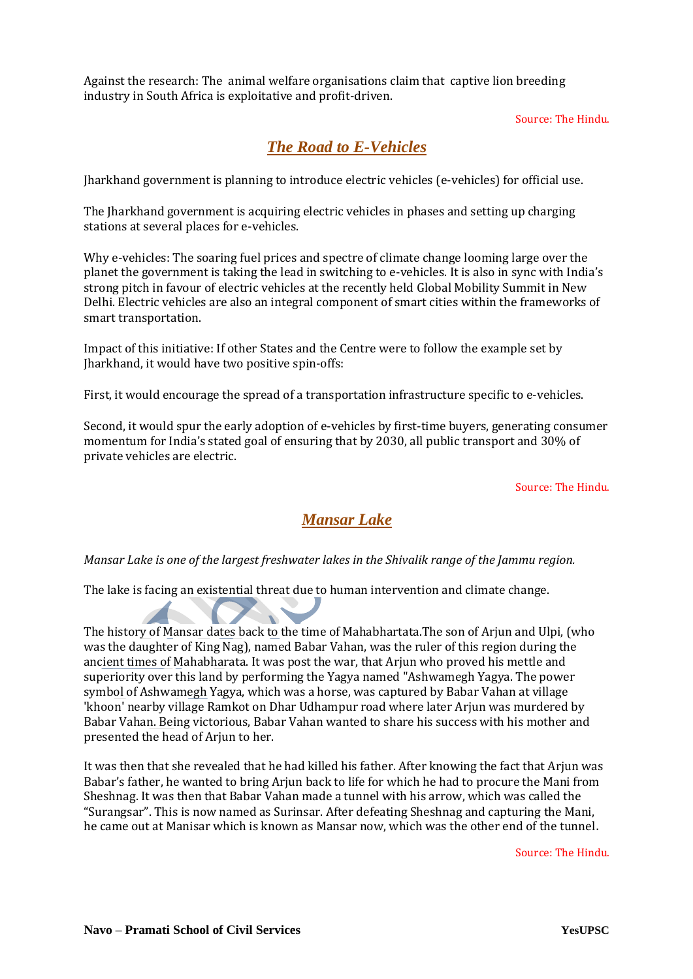Against the research: The animal welfare organisations claim that captive lion breeding industry in South Africa is exploitative and profit-driven.

#### Source: The Hindu.

### *[The Road to E-Vehicles](https://www.thehindu.com/opinion/op-ed/the-road-to-e-vehicles/article25089775.ece)*

Jharkhand government is planning to introduce electric vehicles (e-vehicles) for official use.

The Jharkhand government is acquiring electric vehicles in phases and setting up charging stations at several places for e-vehicles.

Why e-vehicles: The soaring fuel prices and spectre of climate change looming large over the planet the government is taking the lead in switching to e-vehicles. It is also in sync with India's strong pitch in favour of electric vehicles at the recently held Global Mobility Summit in New Delhi. Electric vehicles are also an integral component of smart cities within the frameworks of smart transportation.

Impact of this initiative: If other States and the Centre were to follow the example set by Jharkhand, it would have two positive spin-offs:

First, it would encourage the spread of a transportation infrastructure specific to e-vehicles.

Second, it would spur the early adoption of e-vehicles by first-time buyers, generating consumer momentum for India's stated goal of ensuring that by 2030, all public transport and 30% of private vehicles are electric.

Source: The Hindu.

### *Mansar Lake*

*Mansar Lake is one of the largest freshwater lakes in the Shivalik range of the Jammu region.*

The lake is facing an existential threat due to human intervention and climate change.

The history of Mansar dates back to the time of Mahabhartata.The son of Arjun and Ulpi, (who was the daughter of King Nag), named Babar Vahan, was the ruler of this region during the ancient times of Mahabharata. It was post the war, that Arjun who proved his mettle and superiority over this land by performing the Yagya named "Ashwamegh Yagya. The power symbol of Ashwamegh Yagya, which was a horse, was captured by Babar Vahan at village 'khoon' nearby village Ramkot on Dhar Udhampur road where later Arjun was murdered by Babar Vahan. Being victorious, Babar Vahan wanted to share his success with his mother and presented the head of Arjun to her.

It was then that she revealed that he had killed his father. After knowing the fact that Arjun was Babar's father, he wanted to bring Arjun back to life for which he had to procure the Mani from Sheshnag. It was then that Babar Vahan made a tunnel with his arrow, which was called the "Surangsar". This is now named as Surinsar. After defeating Sheshnag and capturing the Mani, he came out at Manisar which is known as Mansar now, which was the other end of the tunnel.

Source: The Hindu.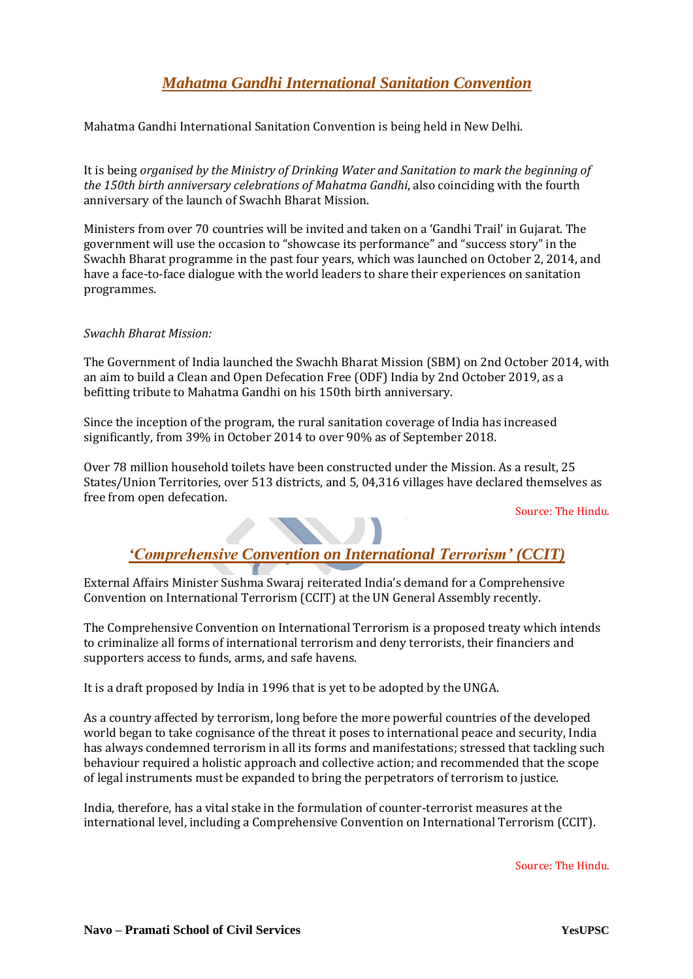## *Mahatma Gandhi International Sanitation Convention*

Mahatma Gandhi International Sanitation Convention is being held in New Delhi.

It is being *organised by the Ministry of Drinking Water and Sanitation to mark the beginning of the 150th birth anniversary celebrations of Mahatma Gandhi*, also coinciding with the fourth anniversary of the launch of Swachh Bharat Mission.

Ministers from over 70 countries will be invited and taken on a 'Gandhi Trail' in Gujarat. The government will use the occasion to "showcase its performance" and "success story" in the Swachh Bharat programme in the past four years, which was launched on October 2, 2014, and have a face-to-face dialogue with the world leaders to share their experiences on sanitation programmes.

#### *Swachh Bharat Mission:*

The Government of India launched the Swachh Bharat Mission (SBM) on 2nd October 2014, with an aim to build a Clean and Open Defecation Free (ODF) India by 2nd October 2019, as a befitting tribute to Mahatma Gandhi on his 150th birth anniversary.

Since the inception of the program, the rural sanitation coverage of India has increased significantly, from 39% in October 2014 to over 90% as of September 2018.

Over 78 million household toilets have been constructed under the Mission. As a result, 25 States/Union Territories, over 513 districts, and 5, 04,316 villages have declared themselves as free from open defecation.

Source: The Hindu.

## *'Comprehensive Convention on International Terrorism' (CCIT)*

External Affairs Minister Sushma Swaraj reiterated India's demand for a Comprehensive Convention on International Terrorism (CCIT) at the UN General Assembly recently.

The Comprehensive Convention on International Terrorism is a proposed treaty which intends to criminalize all forms of international terrorism and deny terrorists, their financiers and supporters access to funds, arms, and safe havens.

It is a draft proposed by India in 1996 that is yet to be adopted by the UNGA.

As a country affected by terrorism, long before the more powerful countries of the developed world began to take cognisance of the threat it poses to international peace and security, India has always condemned terrorism in all its forms and manifestations; stressed that tackling such behaviour required a holistic approach and collective action; and recommended that the scope of legal instruments must be expanded to bring the perpetrators of terrorism to justice.

India, therefore, has a vital stake in the formulation of counter-terrorist measures at the international level, including a Comprehensive Convention on International Terrorism (CCIT).

Source: The Hindu.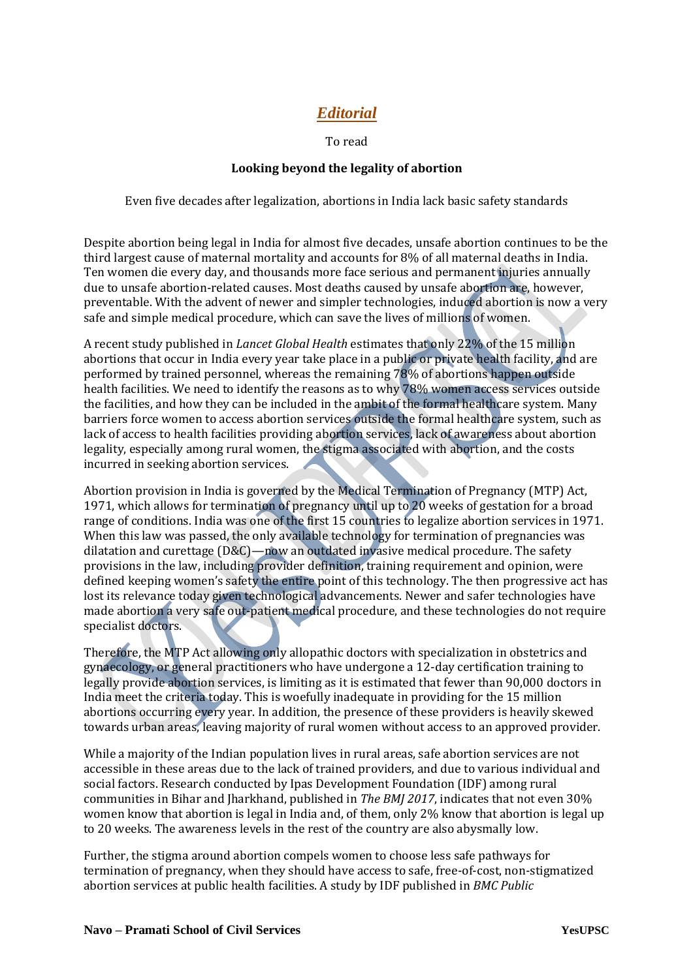## *Editorial*

To read

#### **Looking beyond the legality of abortion**

Even five decades after legalization, abortions in India lack basic safety standards

Despite abortion being legal in India for almost five decades, unsafe abortion continues to be the third largest cause of maternal mortality and accounts for 8% of all maternal deaths in India. Ten women die every day, and thousands more face serious and permanent injuries annually due to unsafe abortion-related causes. Most deaths caused by unsafe abortion are, however, preventable. With the advent of newer and simpler technologies, induced abortion is now a very safe and simple medical procedure, which can save the lives of millions of women.

A recent study published in *Lancet Global Health* estimates that only 22% of the 15 million abortions that occur in India every year take place in a public or private health facility, and are performed by trained personnel, whereas the remaining 78% of abortions happen outside health facilities. We need to identify the reasons as to why 78% women access services outside the facilities, and how they can be included in the ambit of the formal healthcare system. Many barriers force women to access abortion services outside the formal healthcare system, such as lack of access to health facilities providing abortion services, lack of awareness about abortion legality, especially among rural women, the stigma associated with abortion, and the costs incurred in seeking abortion services.

Abortion provision in India is governed by the Medical Termination of Pregnancy (MTP) Act, 1971, which allows for termination of pregnancy until up to 20 weeks of gestation for a broad range of conditions. India was one of the first 15 countries to legalize abortion services in 1971. When this law was passed, the only available technology for termination of pregnancies was dilatation and curettage  $(D&C)$ —now an outdated invasive medical procedure. The safety provisions in the law, including provider definition, training requirement and opinion, were defined keeping women's safety the entire point of this technology. The then progressive act has lost its relevance today given technological advancements. Newer and safer technologies have made abortion a very safe out-patient medical procedure, and these technologies do not require specialist doctors.

Therefore, the MTP Act allowing only allopathic doctors with specialization in obstetrics and gynaecology, or general practitioners who have undergone a 12-day certification training to legally provide abortion services, is limiting as it is estimated that fewer than 90,000 doctors in India meet the criteria today. This is woefully inadequate in providing for the 15 million abortions occurring every year. In addition, the presence of these providers is heavily skewed towards urban areas, leaving majority of rural women without access to an approved provider.

While a majority of the Indian population lives in rural areas, safe abortion services are not accessible in these areas due to the lack of trained providers, and due to various individual and social factors. Research conducted by Ipas Development Foundation (IDF) among rural communities in Bihar and Jharkhand, published in *The BMJ 2017*, indicates that not even 30% women know that abortion is legal in India and, of them, only 2% know that abortion is legal up to 20 weeks. The awareness levels in the rest of the country are also abysmally low.

Further, the stigma around abortion compels women to choose less safe pathways for termination of pregnancy, when they should have access to safe, free-of-cost, non-stigmatized abortion services at public health facilities. A study by IDF published in *BMC Public*